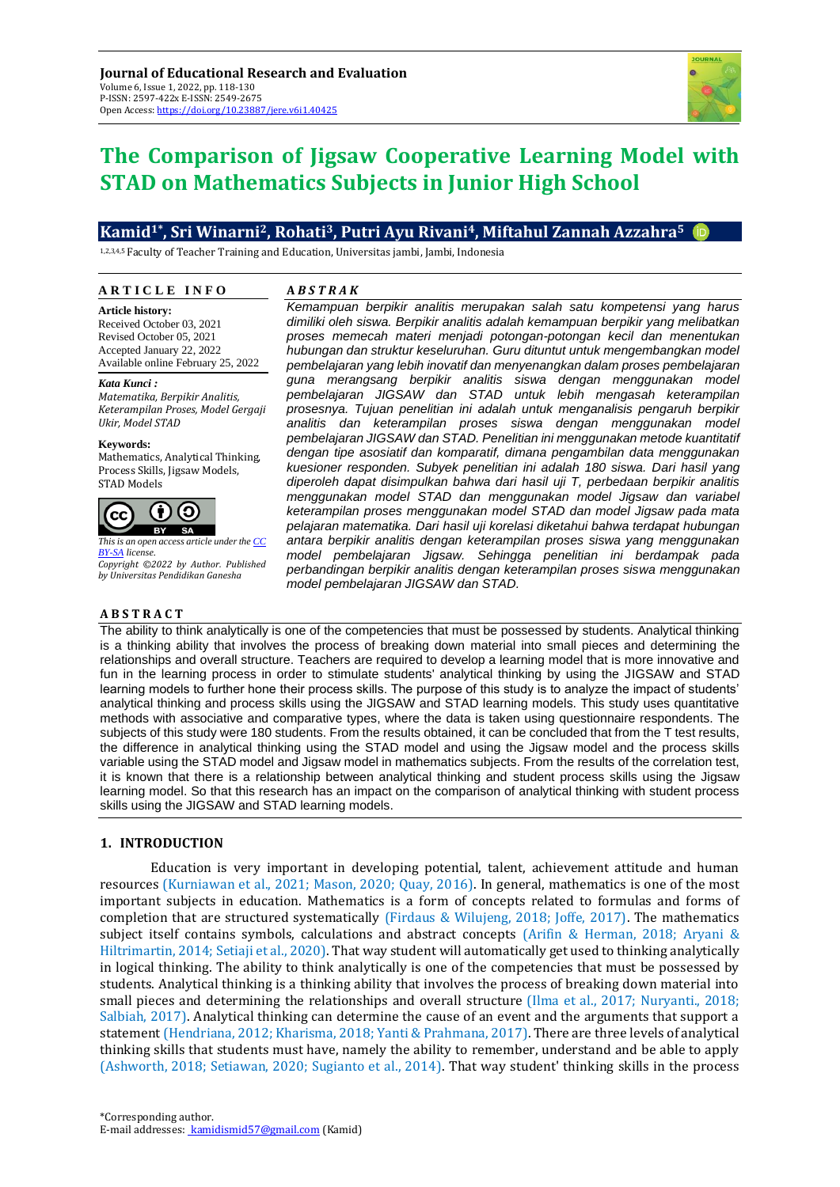

# **The Comparison of Jigsaw Cooperative Learning Model with STAD on Mathematics Subjects in Junior High School**

## **Kamid1\* , Sri Winarni2, Rohati3, Putri Ayu Rivani4, Miftahul Zannah Azzahra<sup>5</sup>**

1,2,3,4,5 Faculty of Teacher Training and Education, Universitas jambi, Jambi, Indonesia

#### **A** *B S T R A K* **A R T I C L E I N F O**

**Article history:** Received October 03, 2021 Revised October 05, 2021 Accepted January 22, 2022 Available online February 25, 2022

#### *Kata Kunci :*

*Matematika, Berpikir Analitis, Keterampilan Proses, Model Gergaji Ukir, Model STAD*

**Keywords:** Mathematics, Analytical Thinking, Process Skills, Jigsaw Models, STAD Models



*This is an open access article under th[e CC](https://creativecommons.org/licenses/by-sa/4.0/)  [BY-SA](https://creativecommons.org/licenses/by-sa/4.0/) license.*

*Copyright ©2022 by Author. Published by Universitas Pendidikan Ganesha*

### **A B S T R A C T**

*Kemampuan berpikir analitis merupakan salah satu kompetensi yang harus dimiliki oleh siswa. Berpikir analitis adalah kemampuan berpikir yang melibatkan proses memecah materi menjadi potongan-potongan kecil dan menentukan hubungan dan struktur keseluruhan. Guru dituntut untuk mengembangkan model pembelajaran yang lebih inovatif dan menyenangkan dalam proses pembelajaran guna merangsang berpikir analitis siswa dengan menggunakan model pembelajaran JIGSAW dan STAD untuk lebih mengasah keterampilan prosesnya. Tujuan penelitian ini adalah untuk menganalisis pengaruh berpikir analitis dan keterampilan proses siswa dengan menggunakan model pembelajaran JIGSAW dan STAD. Penelitian ini menggunakan metode kuantitatif dengan tipe asosiatif dan komparatif, dimana pengambilan data menggunakan kuesioner responden. Subyek penelitian ini adalah 180 siswa. Dari hasil yang diperoleh dapat disimpulkan bahwa dari hasil uji T, perbedaan berpikir analitis menggunakan model STAD dan menggunakan model Jigsaw dan variabel keterampilan proses menggunakan model STAD dan model Jigsaw pada mata pelajaran matematika. Dari hasil uji korelasi diketahui bahwa terdapat hubungan antara berpikir analitis dengan keterampilan proses siswa yang menggunakan model pembelajaran Jigsaw. Sehingga penelitian ini berdampak pada perbandingan berpikir analitis dengan keterampilan proses siswa menggunakan model pembelajaran JIGSAW dan STAD.*

The ability to think analytically is one of the competencies that must be possessed by students. Analytical thinking is a thinking ability that involves the process of breaking down material into small pieces and determining the relationships and overall structure. Teachers are required to develop a learning model that is more innovative and fun in the learning process in order to stimulate students' analytical thinking by using the JIGSAW and STAD learning models to further hone their process skills. The purpose of this study is to analyze the impact of students' analytical thinking and process skills using the JIGSAW and STAD learning models. This study uses quantitative methods with associative and comparative types, where the data is taken using questionnaire respondents. The subjects of this study were 180 students. From the results obtained, it can be concluded that from the T test results, the difference in analytical thinking using the STAD model and using the Jigsaw model and the process skills variable using the STAD model and Jigsaw model in mathematics subjects. From the results of the correlation test, it is known that there is a relationship between analytical thinking and student process skills using the Jigsaw learning model. So that this research has an impact on the comparison of analytical thinking with student process skills using the JIGSAW and STAD learning models.

## **1. INTRODUCTION**

Education is very important in developing potential, talent, achievement attitude and human resources (Kurniawan et al., 2021; Mason, 2020; Quay, 2016). In general, mathematics is one of the most important subjects in education. Mathematics is a form of concepts related to formulas and forms of completion that are structured systematically (Firdaus & Wilujeng, 2018; Joffe, 2017). The mathematics subject itself contains symbols, calculations and abstract concepts (Arifin & Herman, 2018; Aryani & Hiltrimartin, 2014; Setiaji et al., 2020). That way student will automatically get used to thinking analytically in logical thinking. The ability to think analytically is one of the competencies that must be possessed by students. Analytical thinking is a thinking ability that involves the process of breaking down material into small pieces and determining the relationships and overall structure (Ilma et al., 2017; Nuryanti., 2018; Salbiah, 2017). Analytical thinking can determine the cause of an event and the arguments that support a statement (Hendriana, 2012; Kharisma, 2018; Yanti & Prahmana, 2017). There are three levels of analytical thinking skills that students must have, namely the ability to remember, understand and be able to apply (Ashworth, 2018; Setiawan, 2020; Sugianto et al., 2014). That way student' thinking skills in the process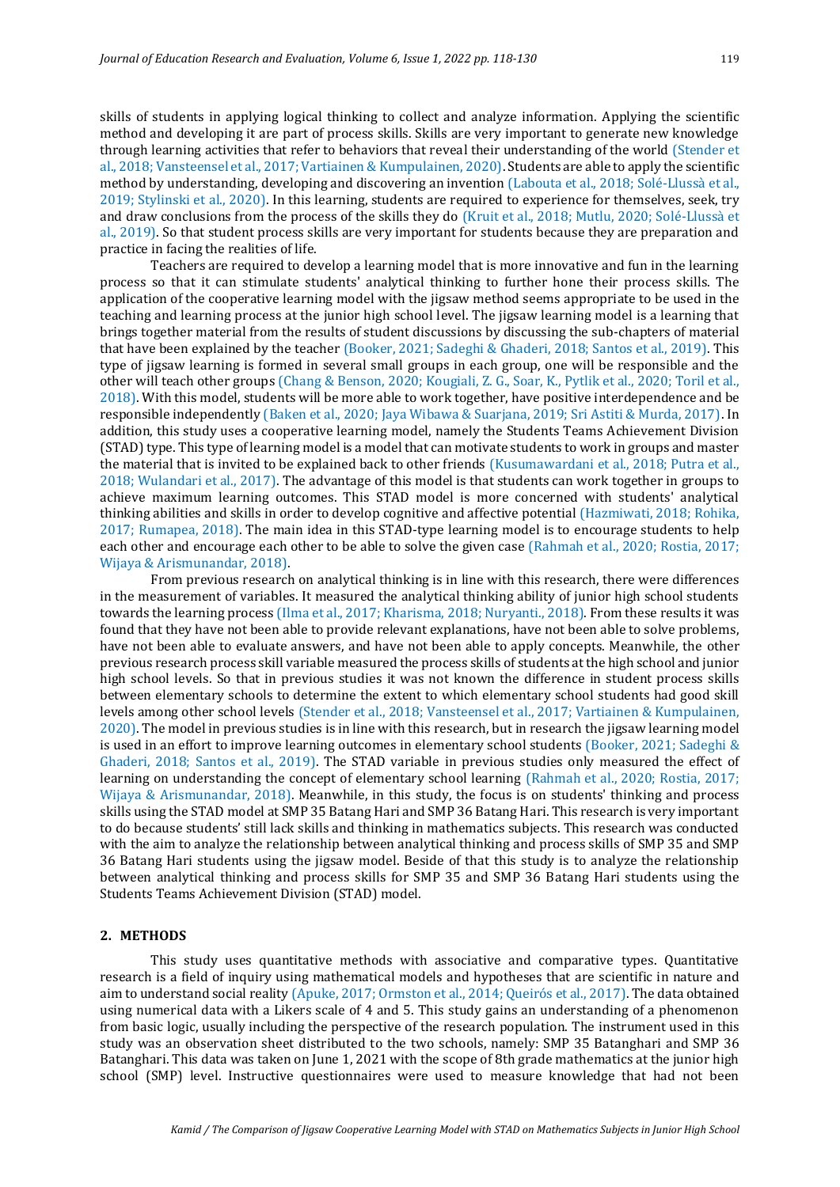skills of students in applying logical thinking to collect and analyze information. Applying the scientific method and developing it are part of process skills. Skills are very important to generate new knowledge through learning activities that refer to behaviors that reveal their understanding of the world (Stender et al., 2018; Vansteensel et al., 2017; Vartiainen & Kumpulainen, 2020). Students are able to apply the scientific method by understanding, developing and discovering an invention (Labouta et al., 2018; Solé-Llussà et al., 2019; Stylinski et al., 2020). In this learning, students are required to experience for themselves, seek, try and draw conclusions from the process of the skills they do (Kruit et al., 2018; Mutlu, 2020; Solé-Llussà et al., 2019). So that student process skills are very important for students because they are preparation and practice in facing the realities of life.

Teachers are required to develop a learning model that is more innovative and fun in the learning process so that it can stimulate students' analytical thinking to further hone their process skills. The application of the cooperative learning model with the jigsaw method seems appropriate to be used in the teaching and learning process at the junior high school level. The jigsaw learning model is a learning that brings together material from the results of student discussions by discussing the sub-chapters of material that have been explained by the teacher (Booker, 2021; Sadeghi & Ghaderi, 2018; Santos et al., 2019). This type of jigsaw learning is formed in several small groups in each group, one will be responsible and the other will teach other groups (Chang & Benson, 2020; Kougiali, Z. G., Soar, K., Pytlik et al., 2020; Toril et al., 2018). With this model, students will be more able to work together, have positive interdependence and be responsible independently (Baken et al., 2020; Jaya Wibawa & Suarjana, 2019; Sri Astiti & Murda, 2017). In addition, this study uses a cooperative learning model, namely the Students Teams Achievement Division (STAD) type. This type of learning model is a model that can motivate students to work in groups and master the material that is invited to be explained back to other friends (Kusumawardani et al., 2018; Putra et al., 2018; Wulandari et al., 2017). The advantage of this model is that students can work together in groups to achieve maximum learning outcomes. This STAD model is more concerned with students' analytical thinking abilities and skills in order to develop cognitive and affective potential (Hazmiwati, 2018; Rohika, 2017; Rumapea, 2018). The main idea in this STAD-type learning model is to encourage students to help each other and encourage each other to be able to solve the given case (Rahmah et al., 2020; Rostia, 2017; Wijaya & Arismunandar, 2018).

From previous research on analytical thinking is in line with this research, there were differences in the measurement of variables. It measured the analytical thinking ability of junior high school students towards the learning process (Ilma et al., 2017; Kharisma, 2018; Nuryanti., 2018). From these results it was found that they have not been able to provide relevant explanations, have not been able to solve problems, have not been able to evaluate answers, and have not been able to apply concepts. Meanwhile, the other previous research process skill variable measured the process skills of students at the high school and junior high school levels. So that in previous studies it was not known the difference in student process skills between elementary schools to determine the extent to which elementary school students had good skill levels among other school levels (Stender et al., 2018; Vansteensel et al., 2017; Vartiainen & Kumpulainen, 2020). The model in previous studies is in line with this research, but in research the jigsaw learning model is used in an effort to improve learning outcomes in elementary school students (Booker, 2021; Sadeghi & Ghaderi, 2018; Santos et al., 2019). The STAD variable in previous studies only measured the effect of learning on understanding the concept of elementary school learning (Rahmah et al., 2020; Rostia, 2017; Wijaya & Arismunandar, 2018). Meanwhile, in this study, the focus is on students' thinking and process skills using the STAD model at SMP 35 Batang Hari and SMP 36 Batang Hari. This research is very important to do because students' still lack skills and thinking in mathematics subjects. This research was conducted with the aim to analyze the relationship between analytical thinking and process skills of SMP 35 and SMP 36 Batang Hari students using the jigsaw model. Beside of that this study is to analyze the relationship between analytical thinking and process skills for SMP 35 and SMP 36 Batang Hari students using the Students Teams Achievement Division (STAD) model.

## **2. METHODS**

This study uses quantitative methods with associative and comparative types. Quantitative research is a field of inquiry using mathematical models and hypotheses that are scientific in nature and aim to understand social reality (Apuke, 2017; Ormston et al., 2014; Queirós et al., 2017). The data obtained using numerical data with a Likers scale of 4 and 5. This study gains an understanding of a phenomenon from basic logic, usually including the perspective of the research population. The instrument used in this study was an observation sheet distributed to the two schools, namely: SMP 35 Batanghari and SMP 36 Batanghari. This data was taken on June 1, 2021 with the scope of 8th grade mathematics at the junior high school (SMP) level. Instructive questionnaires were used to measure knowledge that had not been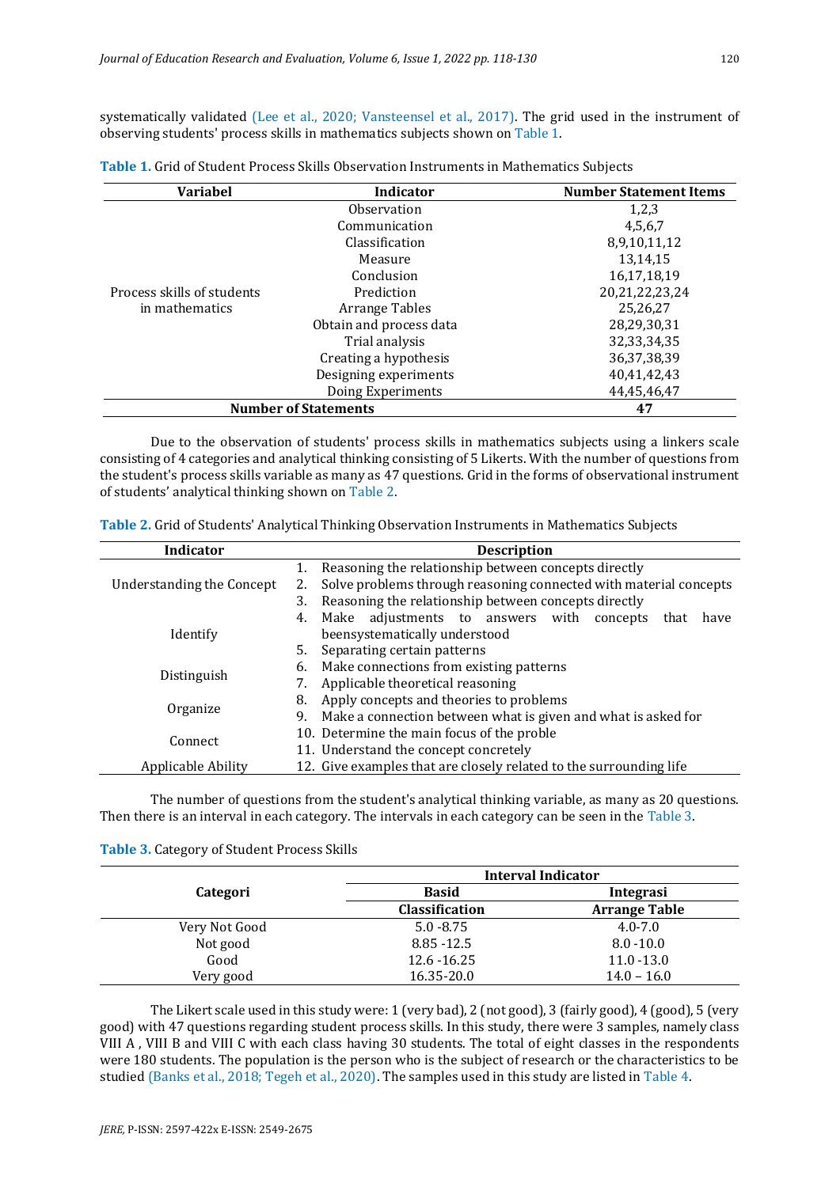systematically validated (Lee et al., 2020; Vansteensel et al., 2017). The grid used in the instrument of observing students' process skills in mathematics subjects shown on Table 1.

| <b>Variabel</b>            | <b>Indicator</b>            | <b>Number Statement Items</b> |  |
|----------------------------|-----------------------------|-------------------------------|--|
|                            | Observation                 | 1,2,3                         |  |
|                            | Communication               | 4,5,6,7                       |  |
|                            | Classification              | 8,9,10,11,12                  |  |
|                            | Measure                     | 13,14,15                      |  |
|                            | Conclusion                  | 16,17,18,19                   |  |
| Process skills of students | Prediction                  | 20, 21, 22, 23, 24            |  |
| in mathematics             | <b>Arrange Tables</b>       | 25,26,27                      |  |
|                            | Obtain and process data     | 28,29,30,31                   |  |
|                            | Trial analysis              | 32, 33, 34, 35                |  |
|                            | Creating a hypothesis       | 36, 37, 38, 39                |  |
|                            | Designing experiments       | 40,41,42,43                   |  |
|                            | Doing Experiments           | 44,45,46,47                   |  |
|                            | <b>Number of Statements</b> |                               |  |

|  | <b>Table 1.</b> Grid of Student Process Skills Observation Instruments in Mathematics Subjects |  |  |  |  |  |
|--|------------------------------------------------------------------------------------------------|--|--|--|--|--|
|--|------------------------------------------------------------------------------------------------|--|--|--|--|--|

Due to the observation of students' process skills in mathematics subjects using a linkers scale consisting of 4 categories and analytical thinking consisting of 5 Likerts. With the number of questions from the student's process skills variable as many as 47 questions. Grid in the forms of observational instrument of students' analytical thinking shown on Table 2.

| Table 2. Grid of Students' Analytical Thinking Observation Instruments in Mathematics Subjects |  |  |
|------------------------------------------------------------------------------------------------|--|--|
|                                                                                                |  |  |

| <b>Indicator</b>                 | <b>Description</b> |                                                                    |  |  |  |  |  |  |
|----------------------------------|--------------------|--------------------------------------------------------------------|--|--|--|--|--|--|
|                                  | 1.                 | Reasoning the relationship between concepts directly               |  |  |  |  |  |  |
| <b>Understanding the Concept</b> |                    | Solve problems through reasoning connected with material concepts  |  |  |  |  |  |  |
|                                  | 3.                 | Reasoning the relationship between concepts directly               |  |  |  |  |  |  |
|                                  | 4.                 | Make adjustments to answers with<br>concepts<br>have<br>that       |  |  |  |  |  |  |
| Identify                         |                    | beensystematically understood                                      |  |  |  |  |  |  |
|                                  | 5.                 | Separating certain patterns                                        |  |  |  |  |  |  |
|                                  | 6.                 | Make connections from existing patterns                            |  |  |  |  |  |  |
| Distinguish                      |                    | Applicable theoretical reasoning                                   |  |  |  |  |  |  |
|                                  | 8.                 | Apply concepts and theories to problems                            |  |  |  |  |  |  |
| Organize                         | 9.                 | Make a connection between what is given and what is asked for      |  |  |  |  |  |  |
| Connect                          |                    | 10. Determine the main focus of the proble                         |  |  |  |  |  |  |
|                                  |                    | 11. Understand the concept concretely                              |  |  |  |  |  |  |
| Applicable Ability               |                    | 12. Give examples that are closely related to the surrounding life |  |  |  |  |  |  |

The number of questions from the student's analytical thinking variable, as many as 20 questions. Then there is an interval in each category. The intervals in each category can be seen in the Table 3.

## **Table 3.** Category of Student Process Skills

|                 | Interval Indicator    |                      |  |  |  |
|-----------------|-----------------------|----------------------|--|--|--|
| <b>Categori</b> | <b>Basid</b>          | Integrasi            |  |  |  |
|                 | <b>Classification</b> | <b>Arrange Table</b> |  |  |  |
| Very Not Good   | $5.0 - 8.75$          | $4.0 - 7.0$          |  |  |  |
| Not good        | $8.85 - 12.5$         | $8.0 - 10.0$         |  |  |  |
| Good            | 12.6 - 16.25          | $11.0 - 13.0$        |  |  |  |
| Very good       | 16.35-20.0            | $14.0 - 16.0$        |  |  |  |

The Likert scale used in this study were: 1 (very bad), 2 (not good), 3 (fairly good), 4 (good), 5 (very good) with 47 questions regarding student process skills. In this study, there were 3 samples, namely class VIII A , VIII B and VIII C with each class having 30 students. The total of eight classes in the respondents were 180 students. The population is the person who is the subject of research or the characteristics to be studied (Banks et al., 2018; Tegeh et al., 2020). The samples used in this study are listed in Table 4.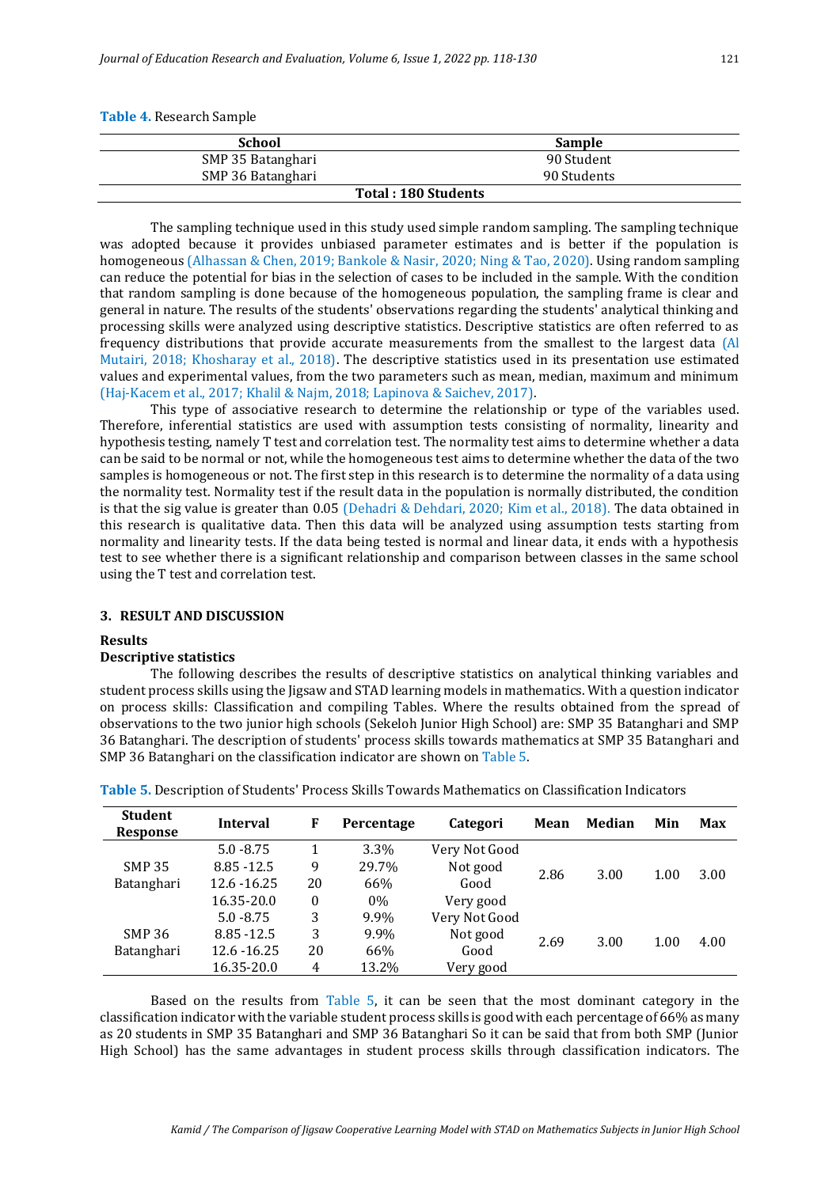|  | <b>Table 4. Research Sample</b> |  |
|--|---------------------------------|--|
|--|---------------------------------|--|

| <b>School</b>       | <b>Sample</b> |  |  |  |  |
|---------------------|---------------|--|--|--|--|
| SMP 35 Batanghari   | 90 Student    |  |  |  |  |
| SMP 36 Batanghari   | 90 Students   |  |  |  |  |
| Total: 180 Students |               |  |  |  |  |

The sampling technique used in this study used simple random sampling. The sampling technique was adopted because it provides unbiased parameter estimates and is better if the population is homogeneous (Alhassan & Chen, 2019; Bankole & Nasir, 2020; Ning & Tao, 2020). Using random sampling can reduce the potential for bias in the selection of cases to be included in the sample. With the condition that random sampling is done because of the homogeneous population, the sampling frame is clear and general in nature. The results of the students' observations regarding the students' analytical thinking and processing skills were analyzed using descriptive statistics. Descriptive statistics are often referred to as frequency distributions that provide accurate measurements from the smallest to the largest data (Al Mutairi, 2018; Khosharay et al., 2018). The descriptive statistics used in its presentation use estimated values and experimental values, from the two parameters such as mean, median, maximum and minimum (Haj-Kacem et al., 2017; Khalil & Najm, 2018; Lapinova & Saichev, 2017).

This type of associative research to determine the relationship or type of the variables used. Therefore, inferential statistics are used with assumption tests consisting of normality, linearity and hypothesis testing, namely T test and correlation test. The normality test aims to determine whether a data can be said to be normal or not, while the homogeneous test aims to determine whether the data of the two samples is homogeneous or not. The first step in this research is to determine the normality of a data using the normality test. Normality test if the result data in the population is normally distributed, the condition is that the sig value is greater than 0.05 (Dehadri & Dehdari, 2020; Kim et al., 2018). The data obtained in this research is qualitative data. Then this data will be analyzed using assumption tests starting from normality and linearity tests. If the data being tested is normal and linear data, it ends with a hypothesis test to see whether there is a significant relationship and comparison between classes in the same school using the T test and correlation test.

#### **3. RESULT AND DISCUSSION**

## **Results**

## **Descriptive statistics**

The following describes the results of descriptive statistics on analytical thinking variables and student process skills using the Jigsaw and STAD learning models in mathematics. With a question indicator on process skills: Classification and compiling Tables. Where the results obtained from the spread of observations to the two junior high schools (Sekeloh Junior High School) are: SMP 35 Batanghari and SMP 36 Batanghari. The description of students' process skills towards mathematics at SMP 35 Batanghari and SMP 36 Batanghari on the classification indicator are shown on Table 5.

| <b>Student</b><br><b>Response</b> | Interval     | F        | Percentage | Categori      | Mean | Median | Min  | <b>Max</b> |
|-----------------------------------|--------------|----------|------------|---------------|------|--------|------|------------|
|                                   | $5.0 - 8.75$ |          | 3.3%       | Very Not Good |      |        |      |            |
| <b>SMP 35</b>                     | 8.85 - 12.5  | 9        | 29.7%      | Not good      | 2.86 | 3.00   | 1.00 | 3.00       |
| Batanghari                        | 12.6 - 16.25 | 20       | 66%        | Good          |      |        |      |            |
|                                   | 16.35-20.0   | $\Omega$ | $0\%$      | Very good     |      |        |      |            |
|                                   | $5.0 - 8.75$ | 3        | 9.9%       | Very Not Good |      |        |      |            |
| <b>SMP 36</b>                     | 8.85 - 12.5  | 3        | 9.9%       | Not good      | 2.69 | 3.00   | 1.00 | 4.00       |
| Batanghari                        | 12.6 - 16.25 | 20       | 66%        | Good          |      |        |      |            |
|                                   | 16.35-20.0   | 4        | 13.2%      | Very good     |      |        |      |            |

**Table 5.** Description of Students' Process Skills Towards Mathematics on Classification Indicators

Based on the results from Table 5, it can be seen that the most dominant category in the classification indicator with the variable student process skills is good with each percentage of 66% as many as 20 students in SMP 35 Batanghari and SMP 36 Batanghari So it can be said that from both SMP (Junior High School) has the same advantages in student process skills through classification indicators. The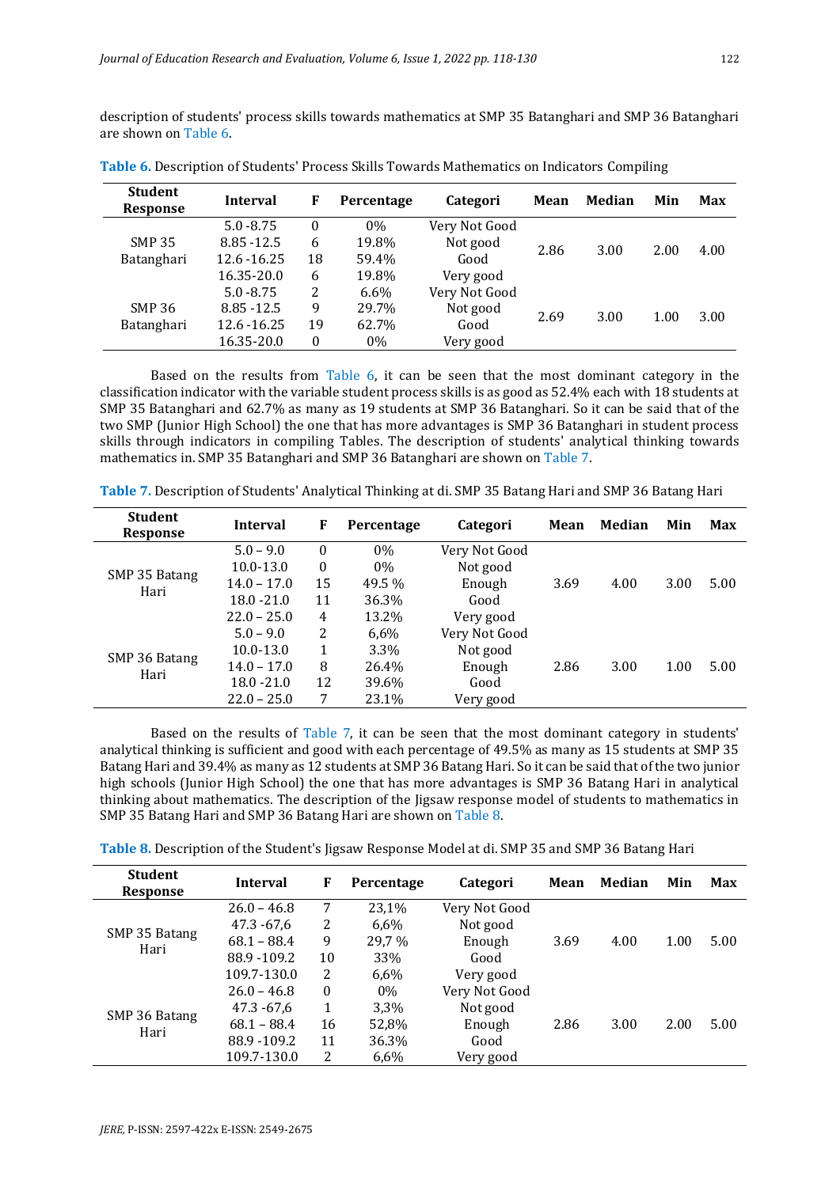description of students' process skills towards mathematics at SMP 35 Batanghari and SMP 36 Batanghari are shown on Table 6.

| <b>Student</b><br>Response | Interval     | F        | Percentage | Categori      | Mean | Median | Min  | <b>Max</b> |
|----------------------------|--------------|----------|------------|---------------|------|--------|------|------------|
|                            | $5.0 - 8.75$ | $\theta$ | $0\%$      | Very Not Good |      |        |      |            |
| <b>SMP 35</b>              | 8.85 - 12.5  | 6        | 19.8%      | Not good      | 2.86 | 3.00   | 2.00 | 4.00       |
| Batanghari                 | 12.6 - 16.25 | 18       | 59.4%      | Good          |      |        |      |            |
|                            | 16.35-20.0   | 6        | 19.8%      | Very good     |      |        |      |            |
|                            | $5.0 - 8.75$ | 2        | $6.6\%$    | Very Not Good |      |        |      |            |
| <b>SMP 36</b>              | 8.85 - 12.5  | 9        | 29.7%      | Not good      |      |        |      |            |
| Batanghari                 | 12.6 - 16.25 | 19       | 62.7%      | Good          | 2.69 | 3.00   | 1.00 | 3.00       |
|                            | 16.35-20.0   | $\Omega$ | $0\%$      | Very good     |      |        |      |            |

**Table 6.** Description of Students' Process Skills Towards Mathematics on Indicators Compiling

Based on the results from Table 6, it can be seen that the most dominant category in the classification indicator with the variable student process skills is as good as 52.4% each with 18 students at SMP 35 Batanghari and 62.7% as many as 19 students at SMP 36 Batanghari. So it can be said that of the two SMP (Junior High School) the one that has more advantages is SMP 36 Batanghari in student process skills through indicators in compiling Tables. The description of students' analytical thinking towards mathematics in. SMP 35 Batanghari and SMP 36 Batanghari are shown on Table 7.

| <b>Student</b><br>Response | Interval      | F                | Percentage | Categori      | Mean | Median | Min  | <b>Max</b> |
|----------------------------|---------------|------------------|------------|---------------|------|--------|------|------------|
|                            | $5.0 - 9.0$   | $\boldsymbol{0}$ | $0\%$      | Very Not Good |      |        |      |            |
|                            | 10.0-13.0     | $\boldsymbol{0}$ | $0\%$      | Not good      |      |        |      |            |
| SMP 35 Batang              | $14.0 - 17.0$ | 15               | 49.5 %     | Enough        | 3.69 | 4.00   | 3.00 | 5.00       |
| Hari                       | $18.0 - 21.0$ | 11               | 36.3%      | Good          |      |        |      |            |
|                            | $22.0 - 25.0$ | 4                | 13.2%      | Very good     |      |        |      |            |
|                            | $5.0 - 9.0$   | 2                | 6,6%       | Very Not Good |      |        |      |            |
|                            | 10.0-13.0     | 1                | $3.3\%$    | Not good      |      |        |      |            |
| SMP 36 Batang<br>Hari      | $14.0 - 17.0$ | 8                | 26.4%      | Enough        | 2.86 | 3.00   | 1.00 | 5.00       |
|                            | 18.0 - 21.0   | 12               | 39.6%      | Good          |      |        |      |            |
|                            | $22.0 - 25.0$ | 7                | 23.1%      | Very good     |      |        |      |            |

**Table 7.** Description of Students' Analytical Thinking at di. SMP 35 Batang Hari and SMP 36 Batang Hari

Based on the results of Table 7, it can be seen that the most dominant category in students' analytical thinking is sufficient and good with each percentage of 49.5% as many as 15 students at SMP 35 Batang Hari and 39.4% as many as 12 students at SMP 36 Batang Hari. So it can be said that of the two junior high schools (Junior High School) the one that has more advantages is SMP 36 Batang Hari in analytical thinking about mathematics. The description of the Jigsaw response model of students to mathematics in SMP 35 Batang Hari and SMP 36 Batang Hari are shown on Table 8.

**Table 8.** Description of the Student's Jigsaw Response Model at di. SMP 35 and SMP 36 Batang Hari

| <b>Student</b><br><b>Response</b> | <b>Interval</b> | F        | Percentage | Categori      | Mean | Median | Min  | Max  |
|-----------------------------------|-----------------|----------|------------|---------------|------|--------|------|------|
|                                   | $26.0 - 46.8$   | 7        | 23,1%      | Very Not Good |      |        |      |      |
|                                   | $47.3 - 67.6$   | 2        | 6,6%       | Not good      |      |        |      |      |
| SMP 35 Batang                     | $68.1 - 88.4$   | 9        | 29.7 %     | Enough        | 3.69 | 4.00   | 1.00 | 5.00 |
| Hari                              | 88.9 - 109.2    | 10       | 33%        | Good          |      |        |      |      |
|                                   | 109.7-130.0     | 2        | 6,6%       | Very good     |      |        |      |      |
|                                   | $26.0 - 46.8$   | $\Omega$ | $0\%$      | Very Not Good |      |        |      |      |
|                                   | $47.3 - 67.6$   |          | 3,3%       | Not good      |      |        |      |      |
| SMP 36 Batang<br>Hari             | $68.1 - 88.4$   | 16       | 52,8%      | Enough        | 2.86 | 3.00   | 2.00 | 5.00 |
|                                   | 88.9 - 109.2    | 11       | 36.3%      | Good          |      |        |      |      |
|                                   | 109.7-130.0     | 2        | 6,6%       | Very good     |      |        |      |      |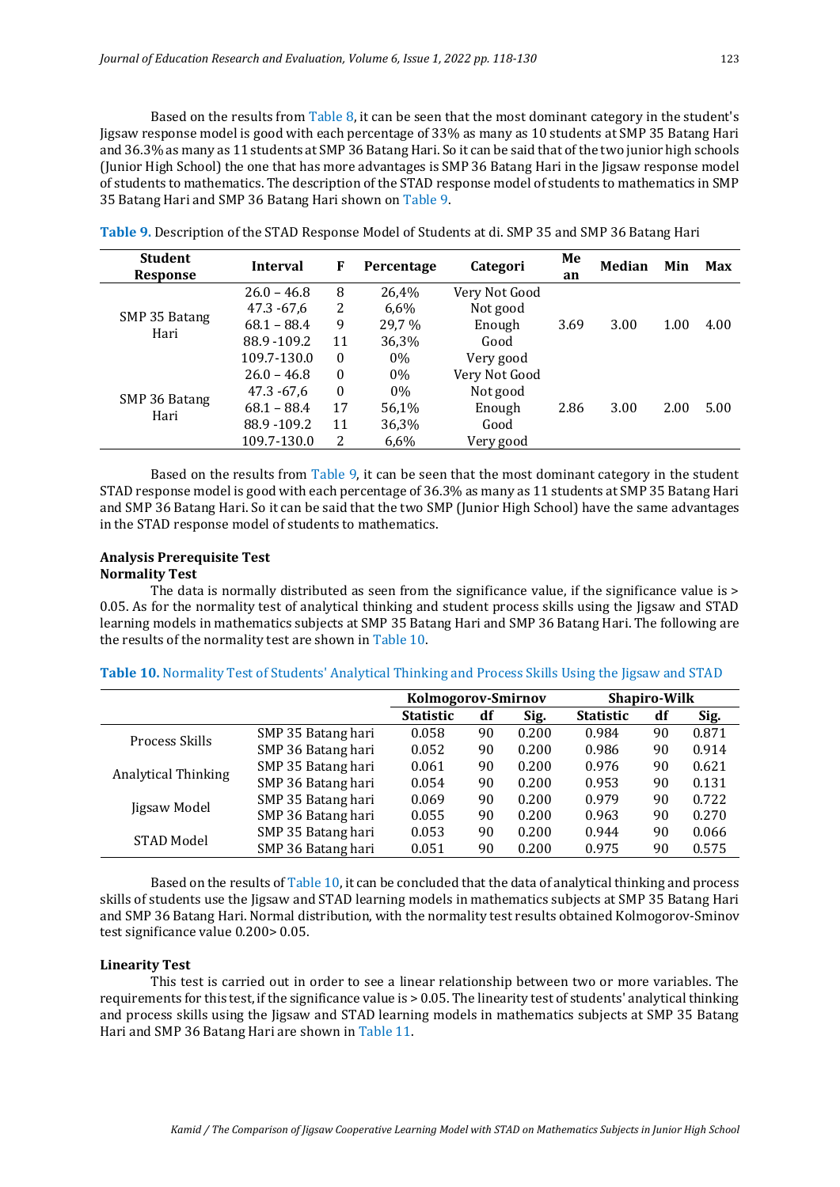Based on the results from Table 8, it can be seen that the most dominant category in the student's Jigsaw response model is good with each percentage of 33% as many as 10 students at SMP 35 Batang Hari and 36.3% as many as 11 students at SMP 36 Batang Hari. So it can be said that of the two junior high schools (Junior High School) the one that has more advantages is SMP 36 Batang Hari in the Jigsaw response model of students to mathematics. The description of the STAD response model of students to mathematics in SMP 35 Batang Hari and SMP 36 Batang Hari shown on Table 9.

| <b>Student</b><br>Response | <b>Interval</b> | F        | Percentage | Categori      | Me<br>an | Median | Min  | <b>Max</b> |
|----------------------------|-----------------|----------|------------|---------------|----------|--------|------|------------|
|                            | $26.0 - 46.8$   | 8        | 26,4%      | Very Not Good |          |        |      |            |
| SMP 35 Batang              | $47.3 - 67.6$   | 2        | 6,6%       | Not good      |          |        |      |            |
|                            | $68.1 - 88.4$   | 9        | 29,7 %     | Enough        | 3.69     | 3.00   | 1.00 | 4.00       |
| Hari                       | 88.9 - 109.2    | 11       | 36,3%      | Good          |          |        |      |            |
|                            | 109.7-130.0     | $\Omega$ | $0\%$      | Very good     |          |        |      |            |
|                            | $26.0 - 46.8$   | $\Omega$ | $0\%$      | Very Not Good |          |        |      |            |
|                            | $47.3 - 67.6$   | $\theta$ | $0\%$      | Not good      |          |        |      |            |
| SMP 36 Batang<br>Hari      | $68.1 - 88.4$   | 17       | 56,1%      | Enough        | 2.86     | 3.00   | 2.00 | 5.00       |
|                            | 88.9 - 109.2    | 11       | 36,3%      | Good          |          |        |      |            |
|                            | 109.7-130.0     | 2        | 6,6%       | Very good     |          |        |      |            |

**Table 9.** Description of the STAD Response Model of Students at di. SMP 35 and SMP 36 Batang Hari

Based on the results from Table 9, it can be seen that the most dominant category in the student STAD response model is good with each percentage of 36.3% as many as 11 students at SMP 35 Batang Hari and SMP 36 Batang Hari. So it can be said that the two SMP (Junior High School) have the same advantages in the STAD response model of students to mathematics.

#### **Analysis Prerequisite Test Normality Test**

The data is normally distributed as seen from the significance value, if the significance value is > 0.05. As for the normality test of analytical thinking and student process skills using the Jigsaw and STAD learning models in mathematics subjects at SMP 35 Batang Hari and SMP 36 Batang Hari. The following are the results of the normality test are shown in Table 10.

## **Table 10.** Normality Test of Students' Analytical Thinking and Process Skills Using the Jigsaw and STAD

|                            |                    | Kolmogorov-Smirnov |    |       | <b>Shapiro-Wilk</b> |    |       |  |
|----------------------------|--------------------|--------------------|----|-------|---------------------|----|-------|--|
|                            |                    | <b>Statistic</b>   | df | Sig.  | <b>Statistic</b>    | df | Sig.  |  |
| Process Skills             | SMP 35 Batang hari | 0.058              | 90 | 0.200 | 0.984               | 90 | 0.871 |  |
|                            | SMP 36 Batang hari | 0.052              | 90 | 0.200 | 0.986               | 90 | 0.914 |  |
| <b>Analytical Thinking</b> | SMP 35 Batang hari | 0.061              | 90 | 0.200 | 0.976               | 90 | 0.621 |  |
|                            | SMP 36 Batang hari | 0.054              | 90 | 0.200 | 0.953               | 90 | 0.131 |  |
| Jigsaw Model               | SMP 35 Batang hari | 0.069              | 90 | 0.200 | 0.979               | 90 | 0.722 |  |
|                            | SMP 36 Batang hari | 0.055              | 90 | 0.200 | 0.963               | 90 | 0.270 |  |
| <b>STAD Model</b>          | SMP 35 Batang hari | 0.053              | 90 | 0.200 | 0.944               | 90 | 0.066 |  |
|                            | SMP 36 Batang hari | 0.051              | 90 | 0.200 | 0.975               | 90 | 0.575 |  |

Based on the results of Table 10, it can be concluded that the data of analytical thinking and process skills of students use the Jigsaw and STAD learning models in mathematics subjects at SMP 35 Batang Hari and SMP 36 Batang Hari. Normal distribution, with the normality test results obtained Kolmogorov-Sminov test significance value 0.200> 0.05.

## **Linearity Test**

This test is carried out in order to see a linear relationship between two or more variables. The requirements for this test, if the significance value is > 0.05. The linearity test of students' analytical thinking and process skills using the Jigsaw and STAD learning models in mathematics subjects at SMP 35 Batang Hari and SMP 36 Batang Hari are shown in Table 11.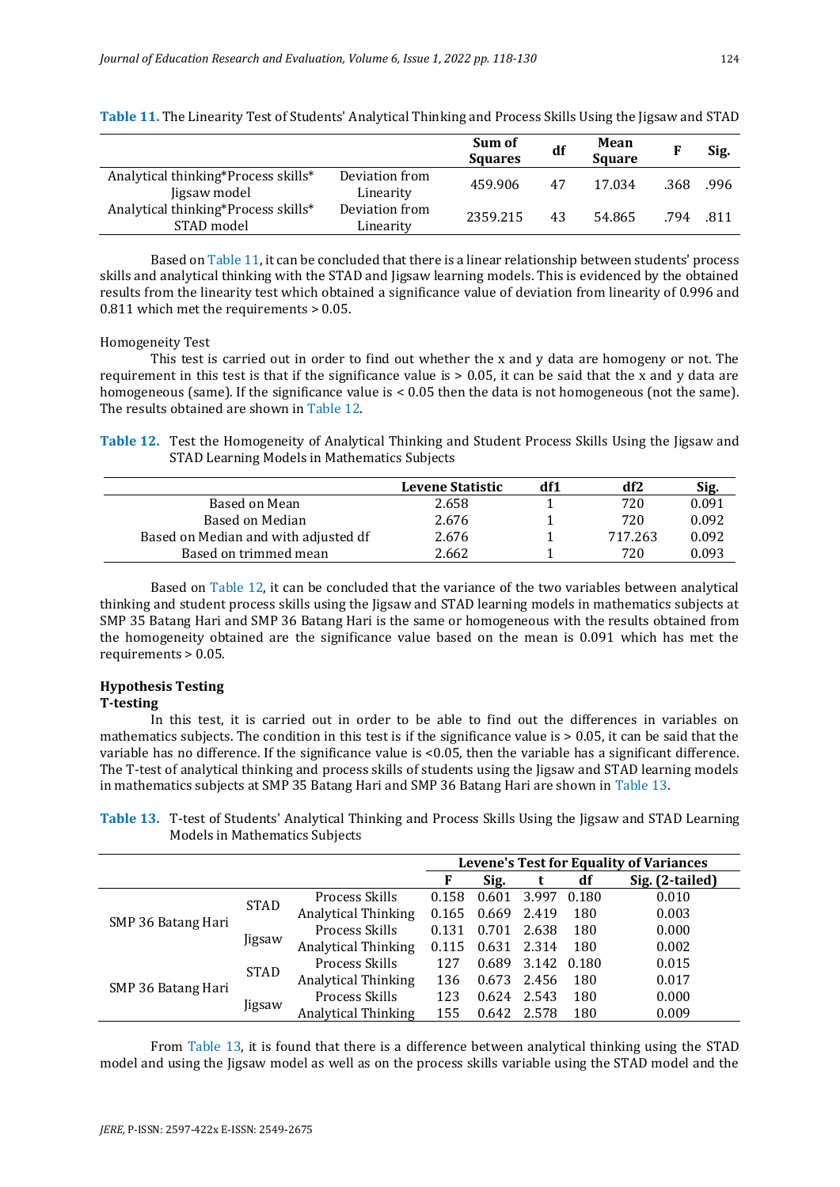|                                                     |                             | Sum of<br><b>Squares</b> | df | Mean<br><b>Square</b> |      | Sig.  |
|-----------------------------------------------------|-----------------------------|--------------------------|----|-----------------------|------|-------|
| Analytical thinking*Process skills*<br>Jigsaw model | Deviation from<br>Linearity | 459.906                  | 47 | 17.034                | .368 | - 996 |
| Analytical thinking*Process skills*<br>STAD model   | Deviation from<br>Linearity | 2359.215                 | 43 | 54.865                | .794 | - 811 |

**Table 11.** The Linearity Test of Students' Analytical Thinking and Process Skills Using the Jigsaw and STAD

Based on Table 11, it can be concluded that there is a linear relationship between students' process skills and analytical thinking with the STAD and Jigsaw learning models. This is evidenced by the obtained results from the linearity test which obtained a significance value of deviation from linearity of 0.996 and 0.811 which met the requirements > 0.05.

Homogeneity Test

This test is carried out in order to find out whether the x and y data are homogeny or not. The requirement in this test is that if the significance value is > 0.05, it can be said that the x and y data are homogeneous (same). If the significance value is < 0.05 then the data is not homogeneous (not the same). The results obtained are shown in Table 12.

**Table 12.** Test the Homogeneity of Analytical Thinking and Student Process Skills Using the Jigsaw and STAD Learning Models in Mathematics Subjects

|                                      | Levene Statistic | df1 | df2     | Sig.  |
|--------------------------------------|------------------|-----|---------|-------|
| Based on Mean                        | 2.658            |     | 720     | 0.091 |
| Based on Median                      | 2.676            |     | 720     | 0.092 |
| Based on Median and with adjusted df | 2.676            |     | 717.263 | 0.092 |
| Based on trimmed mean                | 2.662            |     | 720     | 0.093 |

Based on Table 12, it can be concluded that the variance of the two variables between analytical thinking and student process skills using the Jigsaw and STAD learning models in mathematics subjects at SMP 35 Batang Hari and SMP 36 Batang Hari is the same or homogeneous with the results obtained from the homogeneity obtained are the significance value based on the mean is 0.091 which has met the requirements > 0.05.

## **Hypothesis Testing**

## **T-testing**

In this test, it is carried out in order to be able to find out the differences in variables on mathematics subjects. The condition in this test is if the significance value is  $> 0.05$ , it can be said that the variable has no difference. If the significance value is <0.05, then the variable has a significant difference. The T-test of analytical thinking and process skills of students using the Jigsaw and STAD learning models in mathematics subjects at SMP 35 Batang Hari and SMP 36 Batang Hari are shown in Table 13.

**Table 13.** T-test of Students' Analytical Thinking and Process Skills Using the Jigsaw and STAD Learning Models in Mathematics Subjects

|                    |               |                            | <b>Levene's Test for Equality of Variances</b> |             |       |       |                 |
|--------------------|---------------|----------------------------|------------------------------------------------|-------------|-------|-------|-----------------|
|                    |               |                            | F                                              | Sig.        |       | df    | Sig. (2-tailed) |
| SMP 36 Batang Hari | <b>STAD</b>   | Process Skills             | 0.158                                          | 0.601       | 3.997 | 0.180 | 0.010           |
|                    |               | <b>Analytical Thinking</b> | 0.165                                          | 0.669       | 2.419 | 180   | 0.003           |
|                    | <i>ligsaw</i> | Process Skills             | 0.131                                          | 0.701       | 2.638 | 180   | 0.000           |
|                    |               | <b>Analytical Thinking</b> | 0.115                                          | 0.631 2.314 |       | 180   | 0.002           |
| SMP 36 Batang Hari | <b>STAD</b>   | Process Skills             | 127                                            | 0.689       | 3.142 | 0.180 | 0.015           |
|                    |               | <b>Analytical Thinking</b> | 136                                            | 0.673       | 2.456 | 180   | 0.017           |
|                    | Jigsaw        | Process Skills             | 123                                            | 0.624       | 2.543 | 180   | 0.000           |
|                    |               | <b>Analytical Thinking</b> | 155                                            | 0.642       | 2.578 | 180   | 0.009           |

From Table 13, it is found that there is a difference between analytical thinking using the STAD model and using the Jigsaw model as well as on the process skills variable using the STAD model and the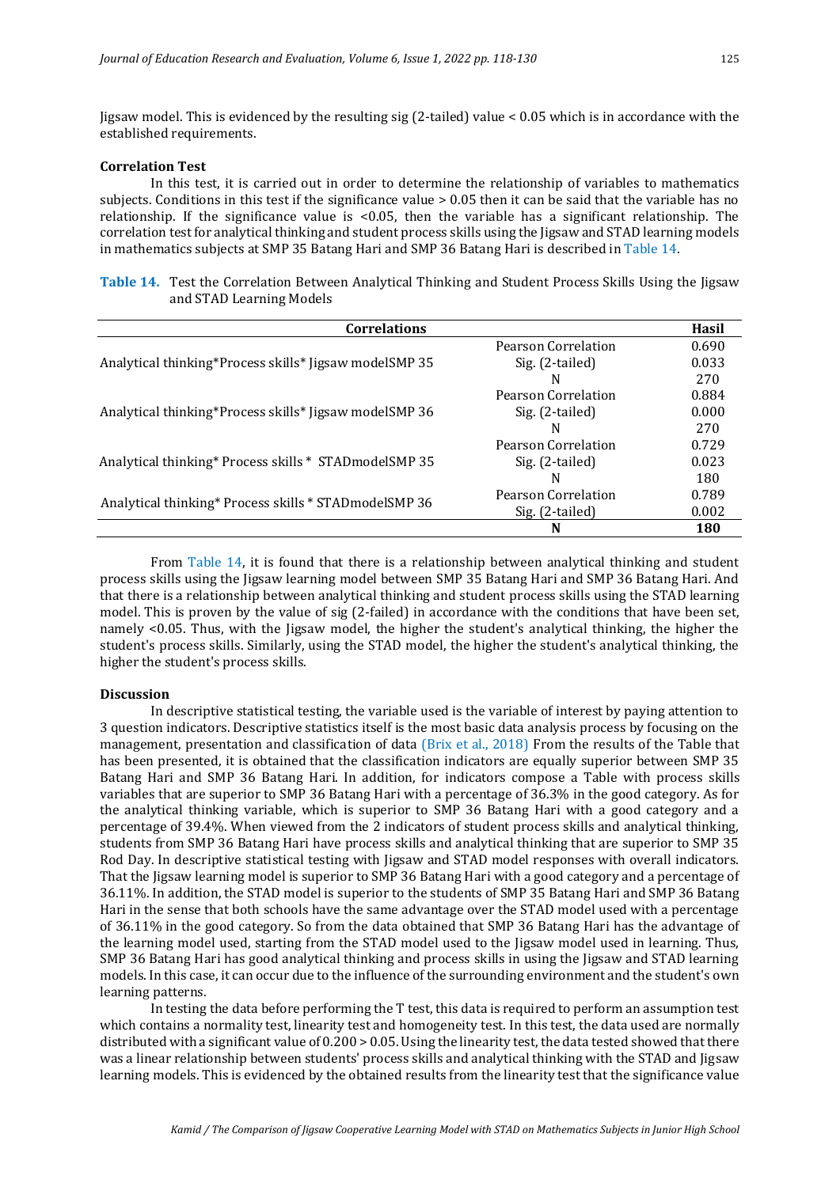Jigsaw model. This is evidenced by the resulting sig (2-tailed) value < 0.05 which is in accordance with the established requirements.

## **Correlation Test**

In this test, it is carried out in order to determine the relationship of variables to mathematics subjects. Conditions in this test if the significance value > 0.05 then it can be said that the variable has no relationship. If the significance value is <0.05, then the variable has a significant relationship. The correlation test for analytical thinking and student process skills using the Jigsaw and STAD learning models in mathematics subjects at SMP 35 Batang Hari and SMP 36 Batang Hari is described in Table 14.

**Table 14.** Test the Correlation Between Analytical Thinking and Student Process Skills Using the Jigsaw and STAD Learning Models

| <b>Correlations</b>                                    |                     | Hasil      |  |
|--------------------------------------------------------|---------------------|------------|--|
|                                                        | Pearson Correlation | 0.690      |  |
| Analytical thinking*Process skills* Jigsaw modelSMP 35 | Sig. (2-tailed)     | 0.033      |  |
|                                                        | N                   | 270        |  |
|                                                        | Pearson Correlation | 0.884      |  |
| Analytical thinking*Process skills* Jigsaw modelSMP 36 | Sig. (2-tailed)     | 0.000      |  |
|                                                        | N                   | 270        |  |
|                                                        | Pearson Correlation | 0.729      |  |
| Analytical thinking* Process skills * STADmodelSMP 35  | Sig. (2-tailed)     | 0.023      |  |
|                                                        | N                   | 180        |  |
|                                                        | Pearson Correlation | 0.789      |  |
| Analytical thinking* Process skills * STADmodelSMP 36  | Sig. (2-tailed)     | 0.002      |  |
|                                                        | N                   | <b>180</b> |  |

From Table 14, it is found that there is a relationship between analytical thinking and student process skills using the Jigsaw learning model between SMP 35 Batang Hari and SMP 36 Batang Hari. And that there is a relationship between analytical thinking and student process skills using the STAD learning model. This is proven by the value of sig (2-failed) in accordance with the conditions that have been set, namely <0.05. Thus, with the Jigsaw model, the higher the student's analytical thinking, the higher the student's process skills. Similarly, using the STAD model, the higher the student's analytical thinking, the higher the student's process skills.

#### **Discussion**

In descriptive statistical testing, the variable used is the variable of interest by paying attention to 3 question indicators. Descriptive statistics itself is the most basic data analysis process by focusing on the management, presentation and classification of data (Brix et al., 2018) From the results of the Table that has been presented, it is obtained that the classification indicators are equally superior between SMP 35 Batang Hari and SMP 36 Batang Hari. In addition, for indicators compose a Table with process skills variables that are superior to SMP 36 Batang Hari with a percentage of 36.3% in the good category. As for the analytical thinking variable, which is superior to SMP 36 Batang Hari with a good category and a percentage of 39.4%. When viewed from the 2 indicators of student process skills and analytical thinking, students from SMP 36 Batang Hari have process skills and analytical thinking that are superior to SMP 35 Rod Day. In descriptive statistical testing with Jigsaw and STAD model responses with overall indicators. That the Jigsaw learning model is superior to SMP 36 Batang Hari with a good category and a percentage of 36.11%. In addition, the STAD model is superior to the students of SMP 35 Batang Hari and SMP 36 Batang Hari in the sense that both schools have the same advantage over the STAD model used with a percentage of 36.11% in the good category. So from the data obtained that SMP 36 Batang Hari has the advantage of the learning model used, starting from the STAD model used to the Jigsaw model used in learning. Thus, SMP 36 Batang Hari has good analytical thinking and process skills in using the Jigsaw and STAD learning models. In this case, it can occur due to the influence of the surrounding environment and the student's own learning patterns.

In testing the data before performing the T test, this data is required to perform an assumption test which contains a normality test, linearity test and homogeneity test. In this test, the data used are normally distributed with a significant value of  $0.200 > 0.05$ . Using the linearity test, the data tested showed that there was a linear relationship between students' process skills and analytical thinking with the STAD and Jigsaw learning models. This is evidenced by the obtained results from the linearity test that the significance value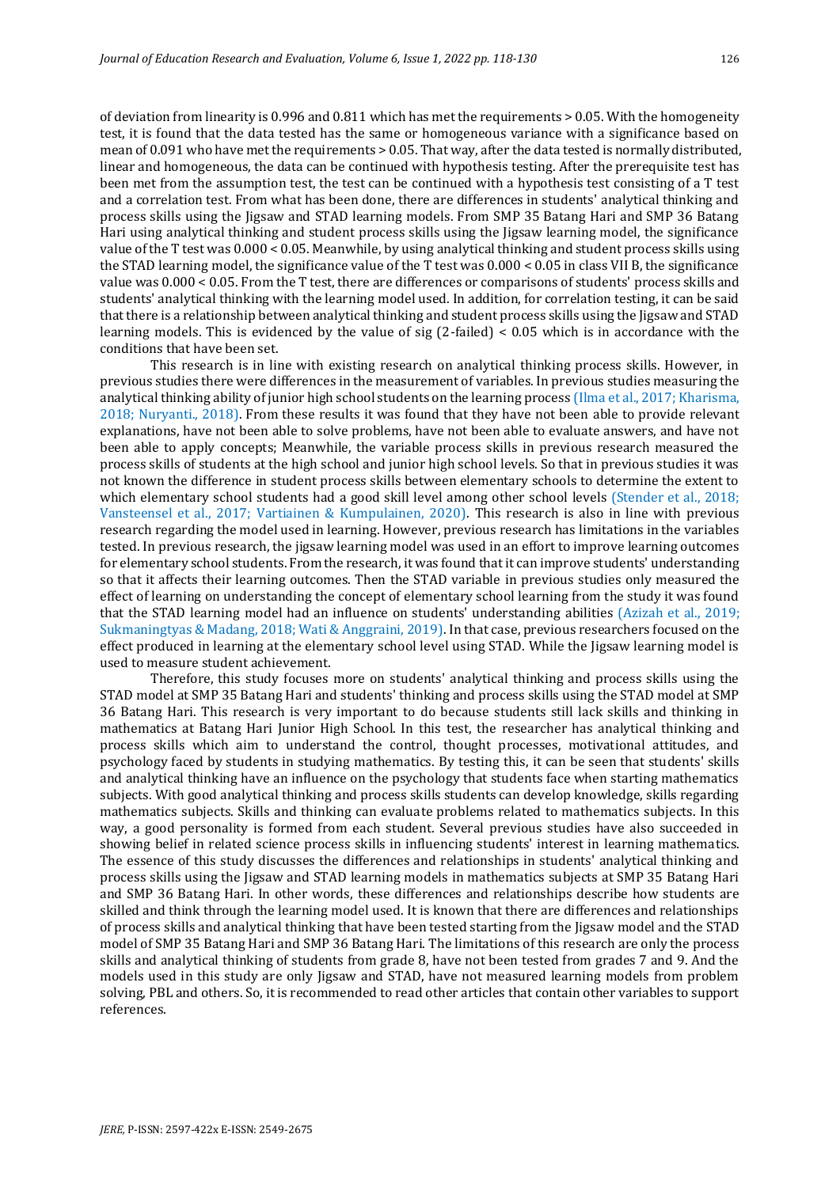of deviation from linearity is 0.996 and 0.811 which has met the requirements > 0.05. With the homogeneity test, it is found that the data tested has the same or homogeneous variance with a significance based on mean of 0.091 who have met the requirements > 0.05. That way, after the data tested is normally distributed, linear and homogeneous, the data can be continued with hypothesis testing. After the prerequisite test has been met from the assumption test, the test can be continued with a hypothesis test consisting of a T test and a correlation test. From what has been done, there are differences in students' analytical thinking and process skills using the Jigsaw and STAD learning models. From SMP 35 Batang Hari and SMP 36 Batang Hari using analytical thinking and student process skills using the Jigsaw learning model, the significance value of the T test was 0.000 < 0.05. Meanwhile, by using analytical thinking and student process skills using the STAD learning model, the significance value of the T test was 0.000 < 0.05 in class VII B, the significance value was 0.000 < 0.05. From the T test, there are differences or comparisons of students' process skills and students' analytical thinking with the learning model used. In addition, for correlation testing, it can be said that there is a relationship between analytical thinking and student process skills using the Jigsaw and STAD learning models. This is evidenced by the value of sig (2-failed) < 0.05 which is in accordance with the conditions that have been set.

This research is in line with existing research on analytical thinking process skills. However, in previous studies there were differences in the measurement of variables. In previous studies measuring the analytical thinking ability of junior high school students on the learning process (Ilma et al., 2017; Kharisma, 2018; Nuryanti., 2018). From these results it was found that they have not been able to provide relevant explanations, have not been able to solve problems, have not been able to evaluate answers, and have not been able to apply concepts; Meanwhile, the variable process skills in previous research measured the process skills of students at the high school and junior high school levels. So that in previous studies it was not known the difference in student process skills between elementary schools to determine the extent to which elementary school students had a good skill level among other school levels (Stender et al., 2018; Vansteensel et al., 2017; Vartiainen & Kumpulainen, 2020). This research is also in line with previous research regarding the model used in learning. However, previous research has limitations in the variables tested. In previous research, the jigsaw learning model was used in an effort to improve learning outcomes for elementary school students. From the research, it was found that it can improve students' understanding so that it affects their learning outcomes. Then the STAD variable in previous studies only measured the effect of learning on understanding the concept of elementary school learning from the study it was found that the STAD learning model had an influence on students' understanding abilities (Azizah et al., 2019; Sukmaningtyas & Madang, 2018; Wati & Anggraini, 2019). In that case, previous researchers focused on the effect produced in learning at the elementary school level using STAD. While the Jigsaw learning model is used to measure student achievement.

Therefore, this study focuses more on students' analytical thinking and process skills using the STAD model at SMP 35 Batang Hari and students' thinking and process skills using the STAD model at SMP 36 Batang Hari. This research is very important to do because students still lack skills and thinking in mathematics at Batang Hari Junior High School. In this test, the researcher has analytical thinking and process skills which aim to understand the control, thought processes, motivational attitudes, and psychology faced by students in studying mathematics. By testing this, it can be seen that students' skills and analytical thinking have an influence on the psychology that students face when starting mathematics subjects. With good analytical thinking and process skills students can develop knowledge, skills regarding mathematics subjects. Skills and thinking can evaluate problems related to mathematics subjects. In this way, a good personality is formed from each student. Several previous studies have also succeeded in showing belief in related science process skills in influencing students' interest in learning mathematics. The essence of this study discusses the differences and relationships in students' analytical thinking and process skills using the Jigsaw and STAD learning models in mathematics subjects at SMP 35 Batang Hari and SMP 36 Batang Hari. In other words, these differences and relationships describe how students are skilled and think through the learning model used. It is known that there are differences and relationships of process skills and analytical thinking that have been tested starting from the Jigsaw model and the STAD model of SMP 35 Batang Hari and SMP 36 Batang Hari. The limitations of this research are only the process skills and analytical thinking of students from grade 8, have not been tested from grades 7 and 9. And the models used in this study are only Jigsaw and STAD, have not measured learning models from problem solving, PBL and others. So, it is recommended to read other articles that contain other variables to support references.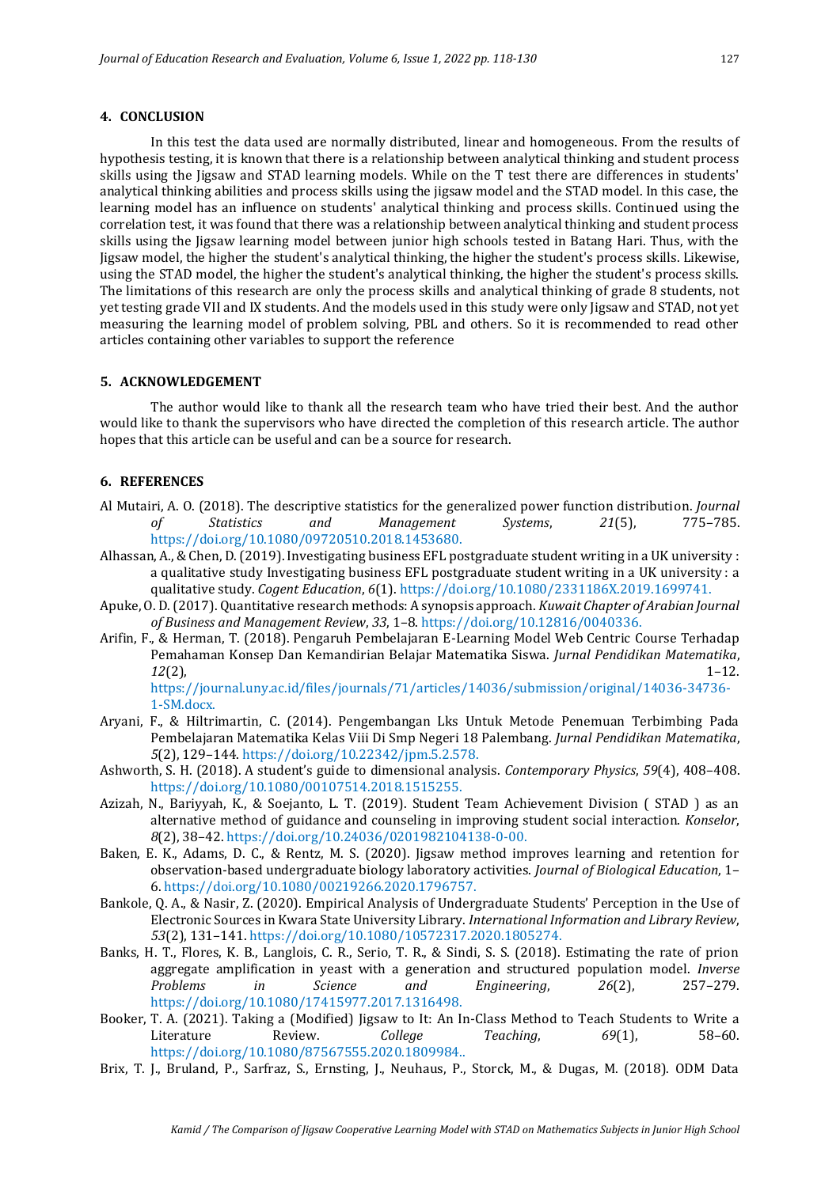## **4. CONCLUSION**

In this test the data used are normally distributed, linear and homogeneous. From the results of hypothesis testing, it is known that there is a relationship between analytical thinking and student process skills using the Jigsaw and STAD learning models. While on the T test there are differences in students' analytical thinking abilities and process skills using the jigsaw model and the STAD model. In this case, the learning model has an influence on students' analytical thinking and process skills. Continued using the correlation test, it was found that there was a relationship between analytical thinking and student process skills using the Jigsaw learning model between junior high schools tested in Batang Hari. Thus, with the Jigsaw model, the higher the student's analytical thinking, the higher the student's process skills. Likewise, using the STAD model, the higher the student's analytical thinking, the higher the student's process skills. The limitations of this research are only the process skills and analytical thinking of grade 8 students, not yet testing grade VII and IX students. And the models used in this study were only Jigsaw and STAD, not yet measuring the learning model of problem solving, PBL and others. So it is recommended to read other articles containing other variables to support the reference

## **5. ACKNOWLEDGEMENT**

The author would like to thank all the research team who have tried their best. And the author would like to thank the supervisors who have directed the completion of this research article. The author hopes that this article can be useful and can be a source for research.

#### **6. REFERENCES**

- Al Mutairi, A. O. (2018). The descriptive statistics for the generalized power function distribution. *Journal of Statistics and Management Systems*, *21*(5), 775–785. https://doi.org/10.1080/09720510.2018.1453680.
- Alhassan, A., & Chen, D. (2019). Investigating business EFL postgraduate student writing in a UK university : a qualitative study Investigating business EFL postgraduate student writing in a UK university : a qualitative study. *Cogent Education*, *6*(1). https://doi.org/10.1080/2331186X.2019.1699741.
- Apuke, O. D. (2017). Quantitative research methods: A synopsis approach. *Kuwait Chapter of Arabian Journal of Business and Management Review*, *33*, 1–8. https://doi.org/10.12816/0040336.
- Arifin, F., & Herman, T. (2018). Pengaruh Pembelajaran E-Learning Model Web Centric Course Terhadap Pemahaman Konsep Dan Kemandirian Belajar Matematika Siswa. *Jurnal Pendidikan Matematika*, *12*(2), 1–12. https://journal.uny.ac.id/files/journals/71/articles/14036/submission/original/14036-34736-

1-SM.docx.

- Aryani, F., & Hiltrimartin, C. (2014). Pengembangan Lks Untuk Metode Penemuan Terbimbing Pada Pembelajaran Matematika Kelas Viii Di Smp Negeri 18 Palembang. *Jurnal Pendidikan Matematika*, *5*(2), 129–144. https://doi.org/10.22342/jpm.5.2.578.
- Ashworth, S. H. (2018). A student's guide to dimensional analysis. *Contemporary Physics*, *59*(4), 408–408. https://doi.org/10.1080/00107514.2018.1515255.
- Azizah, N., Bariyyah, K., & Soejanto, L. T. (2019). Student Team Achievement Division ( STAD ) as an alternative method of guidance and counseling in improving student social interaction. *Konselor*, *8*(2), 38–42. https://doi.org/10.24036/0201982104138-0-00.
- Baken, E. K., Adams, D. C., & Rentz, M. S. (2020). Jigsaw method improves learning and retention for observation-based undergraduate biology laboratory activities. *Journal of Biological Education*, 1– 6. https://doi.org/10.1080/00219266.2020.1796757.
- Bankole, Q. A., & Nasir, Z. (2020). Empirical Analysis of Undergraduate Students' Perception in the Use of Electronic Sources in Kwara State University Library. *International Information and Library Review*, *53*(2), 131–141. https://doi.org/10.1080/10572317.2020.1805274.
- Banks, H. T., Flores, K. B., Langlois, C. R., Serio, T. R., & Sindi, S. S. (2018). Estimating the rate of prion aggregate amplification in yeast with a generation and structured population model. *Inverse Problems in Science and Engineering*, *26*(2), 257–279. https://doi.org/10.1080/17415977.2017.1316498.
- Booker, T. A. (2021). Taking a (Modified) Jigsaw to It: An In-Class Method to Teach Students to Write a Literature Review. *College Teaching*, *69*(1), 58–60. https://doi.org/10.1080/87567555.2020.1809984..
- Brix, T. J., Bruland, P., Sarfraz, S., Ernsting, J., Neuhaus, P., Storck, M., & Dugas, M. (2018). ODM Data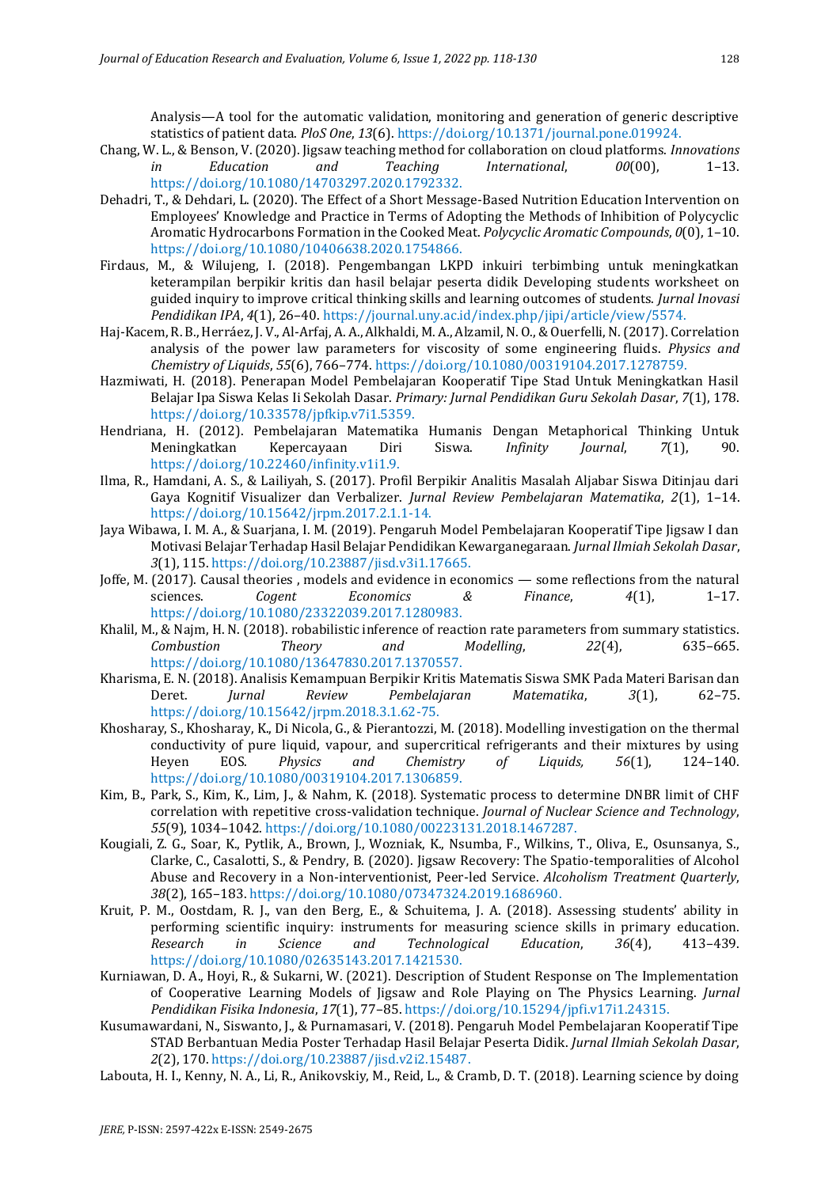Analysis—A tool for the automatic validation, monitoring and generation of generic descriptive statistics of patient data. *PloS One*, *13*(6). https://doi.org/10.1371/journal.pone.019924.

- Chang, W. L., & Benson, V. (2020). Jigsaw teaching method for collaboration on cloud platforms. *Innovations in Education and Teaching International*, *00*(00), 1–13. https://doi.org/10.1080/14703297.2020.1792332.
- Dehadri, T., & Dehdari, L. (2020). The Effect of a Short Message-Based Nutrition Education Intervention on Employees' Knowledge and Practice in Terms of Adopting the Methods of Inhibition of Polycyclic Aromatic Hydrocarbons Formation in the Cooked Meat. *Polycyclic Aromatic Compounds*, *0*(0), 1–10. https://doi.org/10.1080/10406638.2020.1754866.
- Firdaus, M., & Wilujeng, I. (2018). Pengembangan LKPD inkuiri terbimbing untuk meningkatkan keterampilan berpikir kritis dan hasil belajar peserta didik Developing students worksheet on guided inquiry to improve critical thinking skills and learning outcomes of students. *Jurnal Inovasi Pendidikan IPA*, *4*(1), 26–40. https://journal.uny.ac.id/index.php/jipi/article/view/5574.
- Haj-Kacem, R. B., Herráez, J. V., Al-Arfaj, A. A., Alkhaldi, M. A., Alzamil, N. O., & Ouerfelli, N. (2017). Correlation analysis of the power law parameters for viscosity of some engineering fluids. *Physics and Chemistry of Liquids*, *55*(6), 766–774. https://doi.org/10.1080/00319104.2017.1278759.
- Hazmiwati, H. (2018). Penerapan Model Pembelajaran Kooperatif Tipe Stad Untuk Meningkatkan Hasil Belajar Ipa Siswa Kelas Ii Sekolah Dasar. *Primary: Jurnal Pendidikan Guru Sekolah Dasar*, *7*(1), 178. https://doi.org/10.33578/jpfkip.v7i1.5359.
- Hendriana, H. (2012). Pembelajaran Matematika Humanis Dengan Metaphorical Thinking Untuk Meningkatkan Kepercayaan Diri Siswa. *Infinity Journal*, *7*(1), 90. https://doi.org/10.22460/infinity.v1i1.9.
- Ilma, R., Hamdani, A. S., & Lailiyah, S. (2017). Profil Berpikir Analitis Masalah Aljabar Siswa Ditinjau dari Gaya Kognitif Visualizer dan Verbalizer. *Jurnal Review Pembelajaran Matematika*, *2*(1), 1–14. https://doi.org/10.15642/jrpm.2017.2.1.1-14.
- Jaya Wibawa, I. M. A., & Suarjana, I. M. (2019). Pengaruh Model Pembelajaran Kooperatif Tipe Jigsaw I dan Motivasi Belajar Terhadap Hasil Belajar Pendidikan Kewarganegaraan. *Jurnal Ilmiah Sekolah Dasar*, *3*(1), 115. https://doi.org/10.23887/jisd.v3i1.17665.
- Joffe, M. (2017). Causal theories , models and evidence in economics some reflections from the natural sciences. *Cogent Economics & Finance*, *4*(1), 1–17. https://doi.org/10.1080/23322039.2017.1280983.
- Khalil, M., & Najm, H. N. (2018). robabilistic inference of reaction rate parameters from summary statistics. *Combustion Theory and Modelling*, *22*(4), 635–665. https://doi.org/10.1080/13647830.2017.1370557.
- Kharisma, E. N. (2018). Analisis Kemampuan Berpikir Kritis Matematis Siswa SMK Pada Materi Barisan dan Deret. *Jurnal Review Pembelajaran Matematika*, *3*(1), 62–75. https://doi.org/10.15642/jrpm.2018.3.1.62-75.
- Khosharay, S., Khosharay, K., Di Nicola, G., & Pierantozzi, M. (2018). Modelling investigation on the thermal conductivity of pure liquid, vapour, and supercritical refrigerants and their mixtures by using Heyen EOS. *Physics and Chemistry of Liquids, 56*(1), 124–140. https://doi.org/10.1080/00319104.2017.1306859.
- Kim, B., Park, S., Kim, K., Lim, J., & Nahm, K. (2018). Systematic process to determine DNBR limit of CHF correlation with repetitive cross-validation technique. *Journal of Nuclear Science and Technology*, *55*(9), 1034–1042. https://doi.org/10.1080/00223131.2018.1467287.
- Kougiali, Z. G., Soar, K., Pytlik, A., Brown, J., Wozniak, K., Nsumba, F., Wilkins, T., Oliva, E., Osunsanya, S., Clarke, C., Casalotti, S., & Pendry, B. (2020). Jigsaw Recovery: The Spatio-temporalities of Alcohol Abuse and Recovery in a Non-interventionist, Peer-led Service. *Alcoholism Treatment Quarterly*, *38*(2), 165–183. https://doi.org/10.1080/07347324.2019.1686960.
- Kruit, P. M., Oostdam, R. J., van den Berg, E., & Schuitema, J. A. (2018). Assessing students' ability in performing scientific inquiry: instruments for measuring science skills in primary education. *Research in Science and Technological Education*, *36*(4), 413–439. https://doi.org/10.1080/02635143.2017.1421530.
- Kurniawan, D. A., Hoyi, R., & Sukarni, W. (2021). Description of Student Response on The Implementation of Cooperative Learning Models of Jigsaw and Role Playing on The Physics Learning. *Jurnal Pendidikan Fisika Indonesia*, *17*(1), 77–85. https://doi.org/10.15294/jpfi.v17i1.24315.
- Kusumawardani, N., Siswanto, J., & Purnamasari, V. (2018). Pengaruh Model Pembelajaran Kooperatif Tipe STAD Berbantuan Media Poster Terhadap Hasil Belajar Peserta Didik. *Jurnal Ilmiah Sekolah Dasar*, *2*(2), 170. https://doi.org/10.23887/jisd.v2i2.15487.
- Labouta, H. I., Kenny, N. A., Li, R., Anikovskiy, M., Reid, L., & Cramb, D. T. (2018). Learning science by doing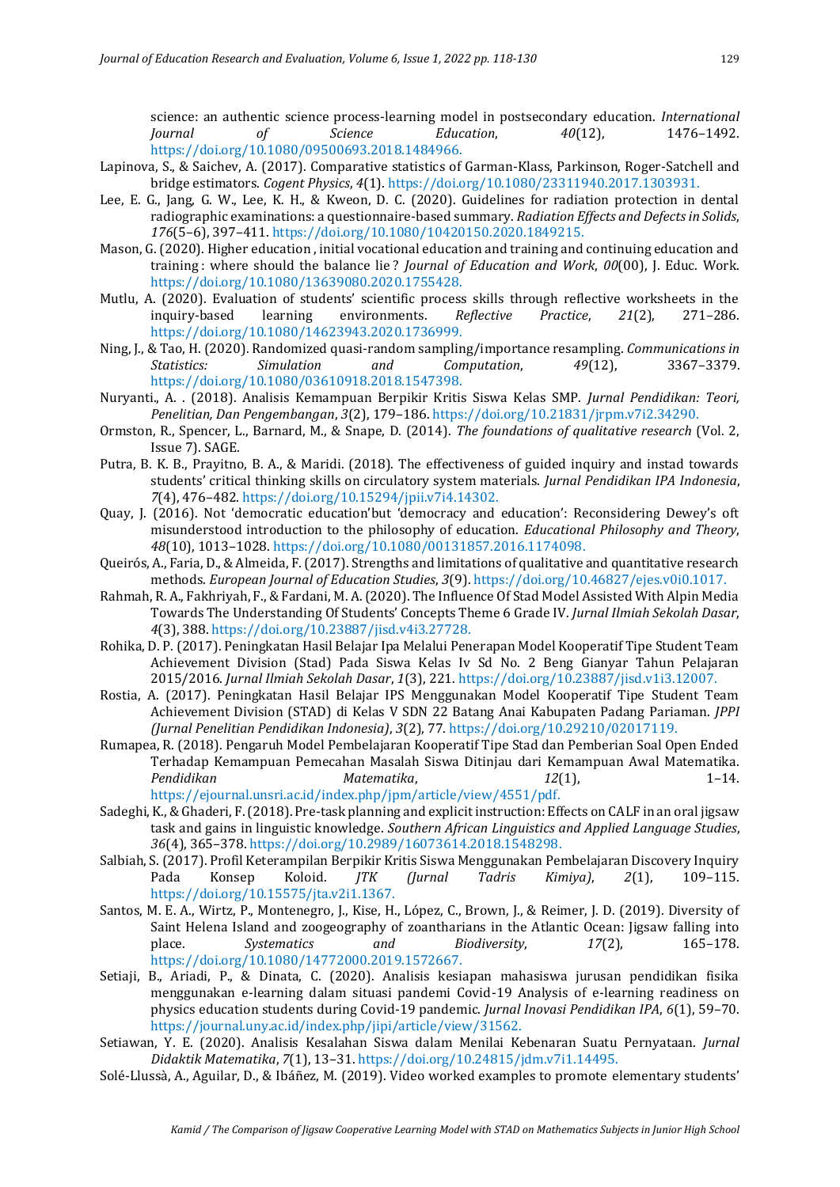science: an authentic science process-learning model in postsecondary education. *International Journal of Science Education*, *40*(12), 1476–1492. https://doi.org/10.1080/09500693.2018.1484966.

- Lapinova, S., & Saichev, A. (2017). Comparative statistics of Garman-Klass, Parkinson, Roger-Satchell and bridge estimators. *Cogent Physics*, *4*(1). https://doi.org/10.1080/23311940.2017.1303931.
- Lee, E. G., Jang, G. W., Lee, K. H., & Kweon, D. C. (2020). Guidelines for radiation protection in dental radiographic examinations: a questionnaire-based summary. *Radiation Effects and Defects in Solids*, *176*(5–6), 397–411. https://doi.org/10.1080/10420150.2020.1849215.
- Mason, G. (2020). Higher education , initial vocational education and training and continuing education and training : where should the balance lie ? *Journal of Education and Work*, *00*(00), J. Educ. Work. https://doi.org/10.1080/13639080.2020.1755428.
- Mutlu, A. (2020). Evaluation of students' scientific process skills through reflective worksheets in the inquiry-based learning environments. *Reflective Practice*, *21*(2), 271–286. https://doi.org/10.1080/14623943.2020.1736999.
- Ning, J., & Tao, H. (2020). Randomized quasi-random sampling/importance resampling. *Communications in Statistics: Simulation and Computation*, *49*(12), 3367–3379. https://doi.org/10.1080/03610918.2018.1547398.
- Nuryanti., A. . (2018). Analisis Kemampuan Berpikir Kritis Siswa Kelas SMP. *Jurnal Pendidikan: Teori, Penelitian, Dan Pengembangan*, *3*(2), 179–186. https://doi.org/10.21831/jrpm.v7i2.34290.
- Ormston, R., Spencer, L., Barnard, M., & Snape, D. (2014). *The foundations of qualitative research* (Vol. 2, Issue 7). SAGE.
- Putra, B. K. B., Prayitno, B. A., & Maridi. (2018). The effectiveness of guided inquiry and instad towards students' critical thinking skills on circulatory system materials. *Jurnal Pendidikan IPA Indonesia*, *7*(4), 476–482. https://doi.org/10.15294/jpii.v7i4.14302.
- Quay, J. (2016). Not 'democratic education'but 'democracy and education': Reconsidering Dewey's oft misunderstood introduction to the philosophy of education. *Educational Philosophy and Theory*, *48*(10), 1013–1028. https://doi.org/10.1080/00131857.2016.1174098.
- Queirós, A., Faria, D., & Almeida, F. (2017). Strengths and limitations of qualitative and quantitative research methods. *European Journal of Education Studies*, *3*(9). https://doi.org/10.46827/ejes.v0i0.1017.
- Rahmah, R. A., Fakhriyah, F., & Fardani, M. A. (2020). The Influence Of Stad Model Assisted With Alpin Media Towards The Understanding Of Students' Concepts Theme 6 Grade IV. *Jurnal Ilmiah Sekolah Dasar*, *4*(3), 388. https://doi.org/10.23887/jisd.v4i3.27728.
- Rohika, D. P. (2017). Peningkatan Hasil Belajar Ipa Melalui Penerapan Model Kooperatif Tipe Student Team Achievement Division (Stad) Pada Siswa Kelas Iv Sd No. 2 Beng Gianyar Tahun Pelajaran 2015/2016. *Jurnal Ilmiah Sekolah Dasar*, *1*(3), 221. https://doi.org/10.23887/jisd.v1i3.12007.
- Rostia, A. (2017). Peningkatan Hasil Belajar IPS Menggunakan Model Kooperatif Tipe Student Team Achievement Division (STAD) di Kelas V SDN 22 Batang Anai Kabupaten Padang Pariaman. *JPPI (Jurnal Penelitian Pendidikan Indonesia)*, *3*(2), 77. https://doi.org/10.29210/02017119.
- Rumapea, R. (2018). Pengaruh Model Pembelajaran Kooperatif Tipe Stad dan Pemberian Soal Open Ended Terhadap Kemampuan Pemecahan Masalah Siswa Ditinjau dari Kemampuan Awal Matematika. *Pendidikan Matematika*, *12*(1), 1–14. https://ejournal.unsri.ac.id/index.php/jpm/article/view/4551/pdf.
- Sadeghi, K., & Ghaderi, F. (2018). Pre-task planning and explicit instruction: Effects on CALF in an oral jigsaw task and gains in linguistic knowledge. *Southern African Linguistics and Applied Language Studies*, *36*(4), 365–378. https://doi.org/10.2989/16073614.2018.1548298.
- Salbiah, S. (2017). Profil Keterampilan Berpikir Kritis Siswa Menggunakan Pembelajaran Discovery Inquiry Pada Konsep Koloid. *JTK (Jurnal Tadris Kimiya)*, *2*(1), 109–115. https://doi.org/10.15575/jta.v2i1.1367.
- Santos, M. E. A., Wirtz, P., Montenegro, J., Kise, H., López, C., Brown, J., & Reimer, J. D. (2019). Diversity of Saint Helena Island and zoogeography of zoantharians in the Atlantic Ocean: Jigsaw falling into place. *Systematics and Biodiversity*, *17*(2), 165–178. https://doi.org/10.1080/14772000.2019.1572667.
- Setiaji, B., Ariadi, P., & Dinata, C. (2020). Analisis kesiapan mahasiswa jurusan pendidikan fisika menggunakan e-learning dalam situasi pandemi Covid-19 Analysis of e-learning readiness on physics education students during Covid-19 pandemic. *Jurnal Inovasi Pendidikan IPA*, *6*(1), 59–70. https://journal.uny.ac.id/index.php/jipi/article/view/31562.
- Setiawan, Y. E. (2020). Analisis Kesalahan Siswa dalam Menilai Kebenaran Suatu Pernyataan. *Jurnal Didaktik Matematika*, *7*(1), 13–31. https://doi.org/10.24815/jdm.v7i1.14495.
- Solé-Llussà, A., Aguilar, D., & Ibáñez, M. (2019). Video worked examples to promote elementary students'